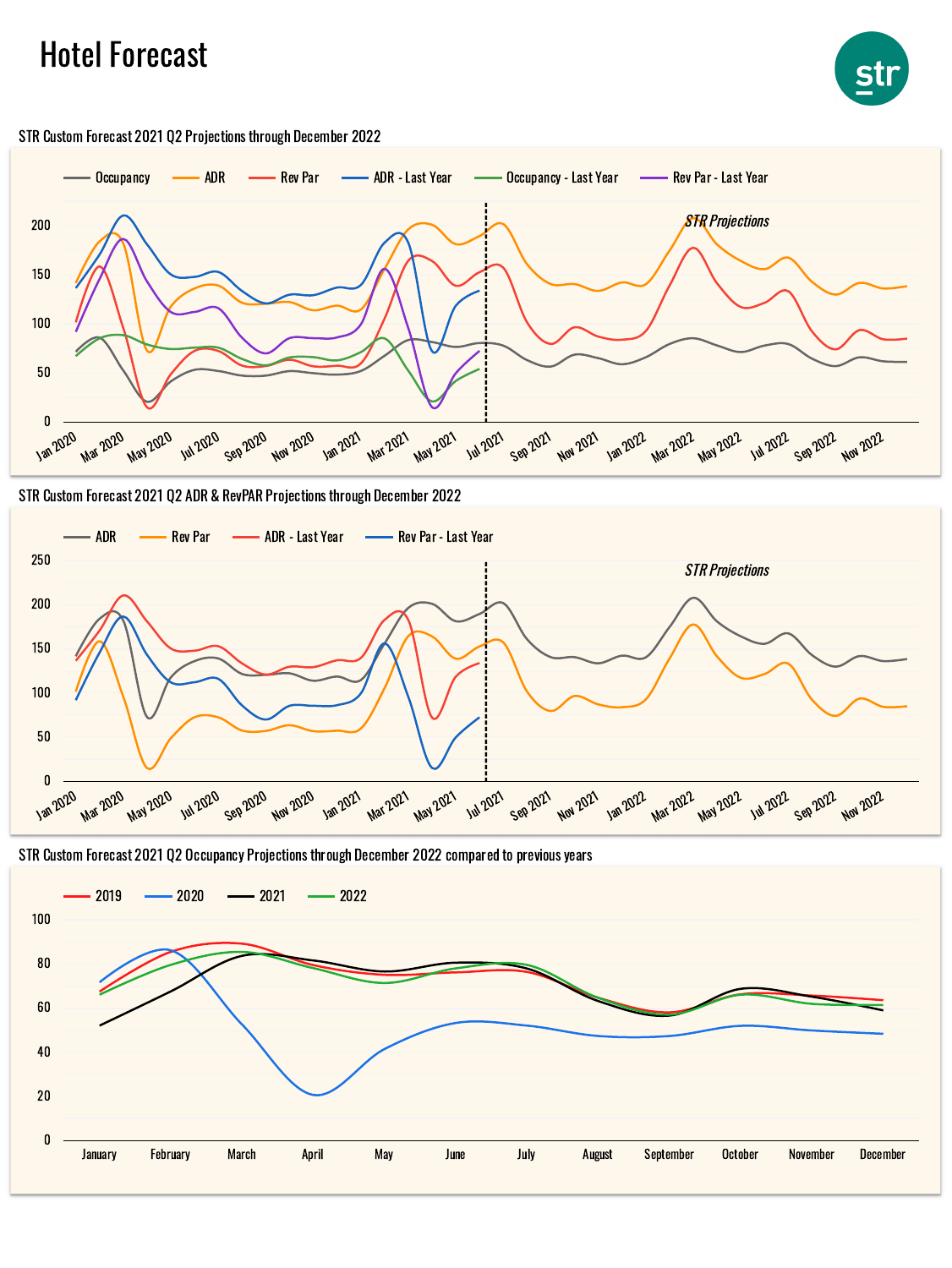## Hotel Forecast





STR Custom Forecast 2021 Q2 Projections through December 2022





STR Custom Forecast 2021 Q2 Occupancy Projections through December 2022 compared to previous years